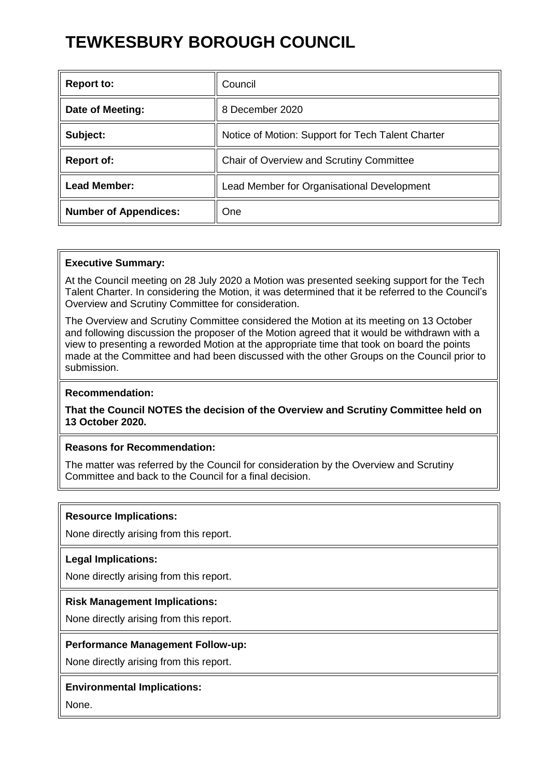# **TEWKESBURY BOROUGH COUNCIL**

| <b>Report to:</b>            | Council                                           |
|------------------------------|---------------------------------------------------|
| Date of Meeting:             | 8 December 2020                                   |
| Subject:                     | Notice of Motion: Support for Tech Talent Charter |
| <b>Report of:</b>            | Chair of Overview and Scrutiny Committee          |
| <b>Lead Member:</b>          | Lead Member for Organisational Development        |
| <b>Number of Appendices:</b> | One                                               |

#### **Executive Summary:**

At the Council meeting on 28 July 2020 a Motion was presented seeking support for the Tech Talent Charter. In considering the Motion, it was determined that it be referred to the Council's Overview and Scrutiny Committee for consideration.

The Overview and Scrutiny Committee considered the Motion at its meeting on 13 October and following discussion the proposer of the Motion agreed that it would be withdrawn with a view to presenting a reworded Motion at the appropriate time that took on board the points made at the Committee and had been discussed with the other Groups on the Council prior to submission.

# **Recommendation:**

**That the Council NOTES the decision of the Overview and Scrutiny Committee held on 13 October 2020.** 

## **Reasons for Recommendation:**

The matter was referred by the Council for consideration by the Overview and Scrutiny Committee and back to the Council for a final decision.

#### **Resource Implications:**

None directly arising from this report.

#### **Legal Implications:**

None directly arising from this report.

#### **Risk Management Implications:**

None directly arising from this report.

#### **Performance Management Follow-up:**

None directly arising from this report.

#### **Environmental Implications:**

None.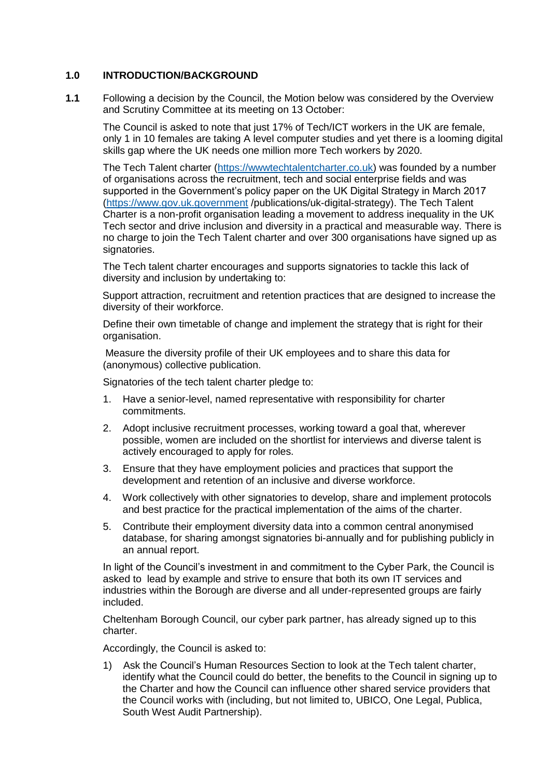#### **1.0 INTRODUCTION/BACKGROUND**

**1.1** Following a decision by the Council, the Motion below was considered by the Overview and Scrutiny Committee at its meeting on 13 October:

The Council is asked to note that just 17% of Tech/ICT workers in the UK are female, only 1 in 10 females are taking A level computer studies and yet there is a looming digital skills gap where the UK needs one million more Tech workers by 2020.

The Tech Talent charter [\(https://wwwtechtalentcharter.co.uk\)](https://wwwtechtalentcharter.co.uk/) was founded by a number of organisations across the recruitment, tech and social enterprise fields and was supported in the Government's policy paper on the UK Digital Strategy in March 2017 [\(https://www.gov.uk.government](https://www.gov.uk.government/) /publications/uk-digital-strategy). The Tech Talent Charter is a non-profit organisation leading a movement to address inequality in the UK Tech sector and drive inclusion and diversity in a practical and measurable way. There is no charge to join the Tech Talent charter and over 300 organisations have signed up as signatories.

The Tech talent charter encourages and supports signatories to tackle this lack of diversity and inclusion by undertaking to:

 Support attraction, recruitment and retention practices that are designed to increase the diversity of their workforce.

Define their own timetable of change and implement the strategy that is right for their organisation.

 Measure the diversity profile of their UK employees and to share this data for (anonymous) collective publication.

Signatories of the tech talent charter pledge to:

- 1. Have a senior-level, named representative with responsibility for charter commitments.
- 2. Adopt inclusive recruitment processes, working toward a goal that, wherever possible, women are included on the shortlist for interviews and diverse talent is actively encouraged to apply for roles.
- 3. Ensure that they have employment policies and practices that support the development and retention of an inclusive and diverse workforce.
- 4. Work collectively with other signatories to develop, share and implement protocols and best practice for the practical implementation of the aims of the charter.
- 5. Contribute their employment diversity data into a common central anonymised database, for sharing amongst signatories bi-annually and for publishing publicly in an annual report.

In light of the Council's investment in and commitment to the Cyber Park, the Council is asked to lead by example and strive to ensure that both its own IT services and industries within the Borough are diverse and all under-represented groups are fairly included.

Cheltenham Borough Council, our cyber park partner, has already signed up to this charter.

Accordingly, the Council is asked to:

1) Ask the Council's Human Resources Section to look at the Tech talent charter, identify what the Council could do better, the benefits to the Council in signing up to the Charter and how the Council can influence other shared service providers that the Council works with (including, but not limited to, UBICO, One Legal, Publica, South West Audit Partnership).